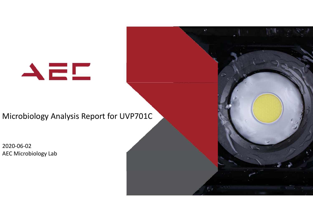$\blacktriangle\equiv\Box$ 

## Microbiology Analysis Report for UVP701C

2020‐06‐02 AEC Microbiology Lab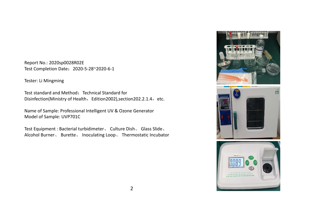Report No.: 2020sp0028R02E Test Completion Date: 2020-5-28~2020-6-1

Tester: Li Mingming

Test standard and Method: Technical Standard for Disinfection(Ministry of Health, Edition2002),section202.2.1.4, etc.

Name of Sample: Professional Intelligent UV & Ozone Generator Model of Sample: UVP701C

Test Equipment : Bacterial turbidimeter、 Culture Dish、 Glass Slide、 Alcohol Burner、 Burette、 Inoculating Loop、 Thermostatic Incubator

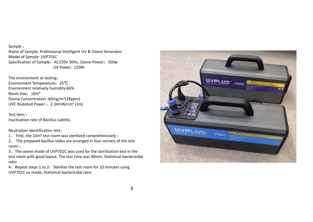Sample : Name of Sample: Professional Intelligent UV & Ozone Generator Model of Sample: UVP701C Specification of Sample: AC220V 50Hz, Ozone Power: 350w UV Power: 120W

The environment at testing: Environment Temperature:25℃ Environment relatively humidity:66% Room Size: 10m<sup>3</sup> Ozone Concentration :60mg/m³(28ppm) UVC Radiated Power :  $2.34$ mW/cm<sup>2</sup> (1m)

Test Item :Inactivation rate of Bacillus subtilis.

Neutralizer identification test:

- 1、 First, the 10m<sup>3</sup> test room was sterilized comprehensively;
- 2、 The prepared bacillus slides are arranged in four corners of the test room ;
- 3、The ozone mode of UVP701C was used for the sterilization test in the test room with good layout. The test time was 90min, Statistical bactericidal ratio

4、Repeat steps 1 to 2, Sterilize the test room for 10 minutes using UVP701C uv mode, Statistical bactericidal ratio

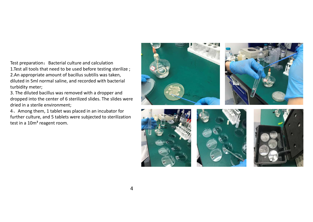Test preparation: Bacterial culture and calculation 1.Test all tools that need to be used before testing sterilize ; 2.An appropriate amount of bacillus subtilis was taken, diluted in 5ml normal saline, and recorded with bacterial turbidity meter;

3. The diluted bacillus was removed with a dropper and dropped into the center of 6 sterilized slides. The slides were dried in a sterile environment;

4、Among them, 1 tablet was placed in an incubator for further culture, and 5 tablets were subjected to sterilization test in a 10m<sup>3</sup> reagent room.









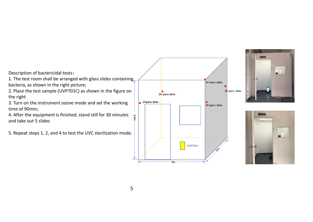Description of bactericidal tests:

1. The test room shall be arranged with glass slides containing bacteria, as shown in the right picture;

2. Place the test sample (UVP701C) as shown in the figure on the right

3. Turn on the instrument ozone mode and set the working time of 90min;

4. After the equipment is finished, stand still for 30 minutes and take out 5 slides

5. Repeat steps 1, 2, and 4 to test the UVC sterilization mode.





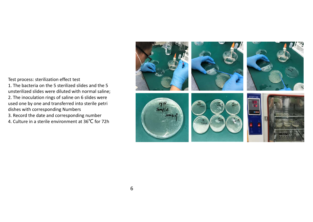Test process: sterilization effect test

1. The bacteria on the 5 sterilized slides and the 5 unsterilized slides were diluted with normal saline; 2. The inoculation rings of saline on 6 slides were used one by one and transferred into sterile petri dishes with corresponding Numbers 3. Record the date and corresponding number

4. Culture in a sterile environment at 36 ℃ for 72h

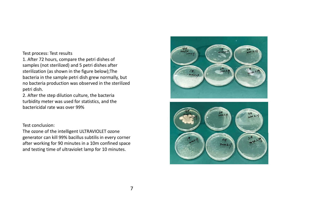## Test process: Test results

1. After 72 hours, compare the petri dishes of samples (not sterilized) and 5 petri dishes after sterilization (as shown in the figure below);The bacteria in the sample petri dish grew normally, but no bacteria production was observed in the sterilized petri dish.

2. After the step dilution culture, the bacteria turbidity meter was used for statistics, and the bactericidal rate was over 99%

## Test conclusion:

The ozone of the intelligent ULTRAVIOLET ozone generator can kill 99% bacillus subtilis in every corner after working for 90 minutes in a 10m confined space and testing time of ultraviolet lamp for 10 minutes.